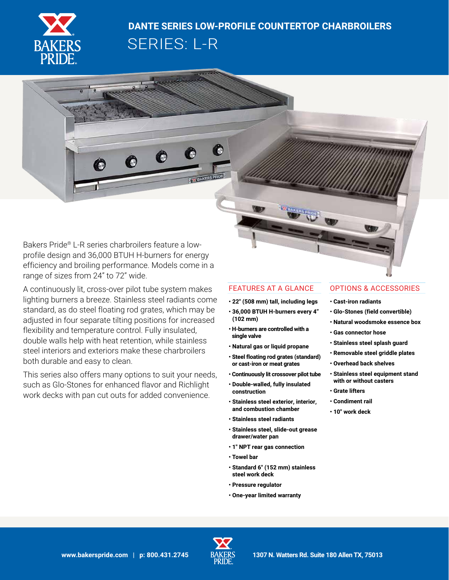

# **DANTE SERIES LOW-PROFILE COUNTERTOP CHARBROILERS**

ē

O

O

O

SERIES: L-R

Bakers Pride® L-R series charbroilers feature a lowprofile design and 36,000 BTUH H-burners for energy efficiency and broiling performance. Models come in a range of sizes from 24" to 72" wide.

A continuously lit, cross-over pilot tube system makes lighting burners a breeze. Stainless steel radiants come standard, as do steel floating rod grates, which may be adjusted in four separate tilting positions for increased flexibility and temperature control. Fully insulated, double walls help with heat retention, while stainless steel interiors and exteriors make these charbroilers both durable and easy to clean.

This series also offers many options to suit your needs, such as Glo-Stones for enhanced flavor and Richlight work decks with pan cut outs for added convenience.

## FEATURES AT A GLANCE

- **22" (508 mm) tall, including legs**
- **36,000 BTUH H-burners every 4" (102 mm)**
- **H-burners are controlled with a single valve**
- **Natural gas or liquid propane**
- **Steel floating rod grates (standard) or cast-iron or meat grates**
- **Continuously lit crossover pilot tube**
- **Double-walled, fully insulated construction**
- **Stainless steel exterior, interior, and combustion chamber**
- **Stainless steel radiants**
- **Stainless steel, slide-out grease drawer/water pan**
- **1" NPT rear gas connection**
- **Towel bar**
- **Standard 6" (152 mm) stainless steel work deck**
- **Pressure regulator**
- **One-year limited warranty**

## OPTIONS & ACCESSORIES

- **Cast-iron radiants**
- **Glo-Stones (field convertible)**
- **Natural woodsmoke essence box**
- **Gas connector hose**
- **Stainless steel splash guard**
- **Removable steel griddle plates**
- **Overhead back shelves**
- **Stainless steel equipment stand with or without casters**
- **Grate lifters**
- **Condiment rail**
- **10" work deck**